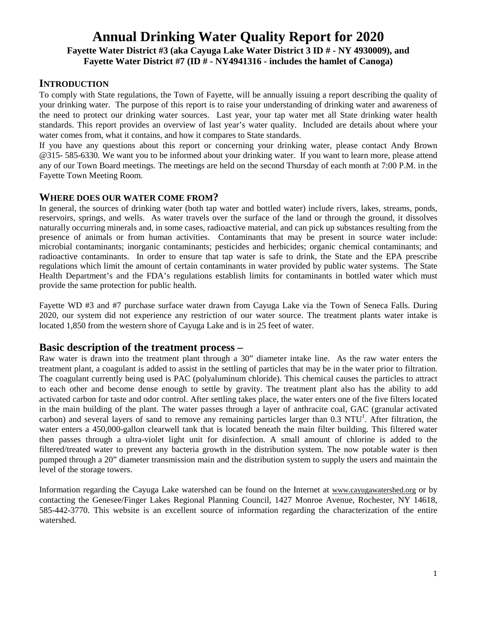# **Annual Drinking Water Quality Report for 2020 Fayette Water District #3 (aka Cayuga Lake Water District 3 ID # - NY 4930009), and Fayette Water District #7 (ID # - NY4941316 - includes the hamlet of Canoga)**

## **INTRODUCTION**

To comply with State regulations, the Town of Fayette, will be annually issuing a report describing the quality of your drinking water. The purpose of this report is to raise your understanding of drinking water and awareness of the need to protect our drinking water sources. Last year, your tap water met all State drinking water health standards. This report provides an overview of last year's water quality. Included are details about where your water comes from, what it contains, and how it compares to State standards.

If you have any questions about this report or concerning your drinking water, please contact Andy Brown @315- 585-6330. We want you to be informed about your drinking water. If you want to learn more, please attend any of our Town Board meetings. The meetings are held on the second Thursday of each month at 7:00 P.M. in the Fayette Town Meeting Room.

#### **WHERE DOES OUR WATER COME FROM?**

In general, the sources of drinking water (both tap water and bottled water) include rivers, lakes, streams, ponds, reservoirs, springs, and wells. As water travels over the surface of the land or through the ground, it dissolves naturally occurring minerals and, in some cases, radioactive material, and can pick up substances resulting from the presence of animals or from human activities. Contaminants that may be present in source water include: microbial contaminants; inorganic contaminants; pesticides and herbicides; organic chemical contaminants; and radioactive contaminants. In order to ensure that tap water is safe to drink, the State and the EPA prescribe regulations which limit the amount of certain contaminants in water provided by public water systems. The State Health Department's and the FDA's regulations establish limits for contaminants in bottled water which must provide the same protection for public health.

Fayette WD #3 and #7 purchase surface water drawn from Cayuga Lake via the Town of Seneca Falls. During 2020, our system did not experience any restriction of our water source. The treatment plants water intake is located 1,850 from the western shore of Cayuga Lake and is in 25 feet of water.

#### **Basic description of the treatment process –**

Raw water is drawn into the treatment plant through a 30" diameter intake line. As the raw water enters the treatment plant, a coagulant is added to assist in the settling of particles that may be in the water prior to filtration. The coagulant currently being used is PAC (polyaluminum chloride). This chemical causes the particles to attract to each other and become dense enough to settle by gravity. The treatment plant also has the ability to add activated carbon for taste and odor control. After settling takes place, the water enters one of the five filters located in the main building of the plant. The water passes through a layer of anthracite coal, GAC (granular activated carbon) and several layers of sand to remove any remaining particles larger than  $0.3$  NTU<sup>1</sup>. After filtration, the water enters a 450,000-gallon clearwell tank that is located beneath the main filter building. This filtered water then passes through a ultra-violet light unit for disinfection. A small amount of chlorine is added to the filtered/treated water to prevent any bacteria growth in the distribution system. The now potable water is then pumped through a 20" diameter transmission main and the distribution system to supply the users and maintain the level of the storage towers.

Information regarding the Cayuga Lake watershed can be found on the Internet at [www.cayugawatershed.org](http://www.cayugawatershed.org/) or by contacting the Genesee/Finger Lakes Regional Planning Council, 1427 Monroe Avenue, Rochester, NY 14618, 585-442-3770. This website is an excellent source of information regarding the characterization of the entire watershed.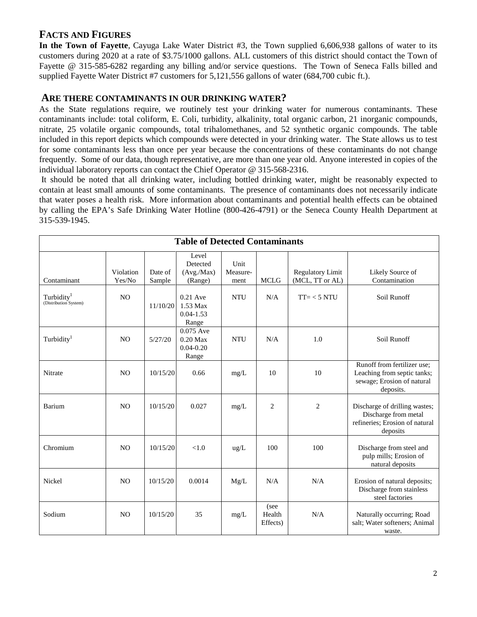## **FACTS AND FIGURES**

**In the Town of Fayette**, Cayuga Lake Water District #3, the Town supplied 6,606,938 gallons of water to its customers during 2020 at a rate of \$3.75/1000 gallons. ALL customers of this district should contact the Town of Fayette @ 315-585-6282 regarding any billing and/or service questions. The Town of Seneca Falls billed and supplied Fayette Water District #7 customers for 5,121,556 gallons of water (684,700 cubic ft.).

## **ARE THERE CONTAMINANTS IN OUR DRINKING WATER?**

As the State regulations require, we routinely test your drinking water for numerous contaminants. These contaminants include: total coliform, E. Coli, turbidity, alkalinity, total organic carbon, 21 inorganic compounds, nitrate, 25 volatile organic compounds, total trihalomethanes, and 52 synthetic organic compounds. The table included in this report depicts which compounds were detected in your drinking water. The State allows us to test for some contaminants less than once per year because the concentrations of these contaminants do not change frequently. Some of our data, though representative, are more than one year old. Anyone interested in copies of the individual laboratory reports can contact the Chief Operator @ 315-568-2316.

It should be noted that all drinking water, including bottled drinking water, might be reasonably expected to contain at least small amounts of some contaminants. The presence of contaminants does not necessarily indicate that water poses a health risk. More information about contaminants and potential health effects can be obtained by calling the EPA's Safe Drinking Water Hotline (800-426-4791) or the Seneca County Health Department at 315-539-1945.

| <b>Table of Detected Contaminants</b>           |                     |                   |                                                   |                          |                            |                                            |                                                                                                       |
|-------------------------------------------------|---------------------|-------------------|---------------------------------------------------|--------------------------|----------------------------|--------------------------------------------|-------------------------------------------------------------------------------------------------------|
| Contaminant                                     | Violation<br>Yes/No | Date of<br>Sample | Level<br>Detected<br>(Avg./Max)<br>(Range)        | Unit<br>Measure-<br>ment | <b>MCLG</b>                | <b>Regulatory Limit</b><br>(MCL, TT or AL) | Likely Source of<br>Contamination                                                                     |
| Turbidity <sup>1</sup><br>(Distribution System) | N <sub>O</sub>      | 11/10/20          | 0.21 Ave<br>1.53 Max<br>$0.04 - 1.53$<br>Range    | <b>NTU</b>               | N/A                        | $TT = < 5 NTU$                             | Soil Runoff                                                                                           |
| Turbidity <sup>1</sup>                          | N <sub>O</sub>      | 5/27/20           | 0.075 Ave<br>$0.20$ Max<br>$0.04 - 0.20$<br>Range | <b>NTU</b>               | N/A                        | 1.0                                        | Soil Runoff                                                                                           |
| Nitrate                                         | N <sub>O</sub>      | 10/15/20          | 0.66                                              | mg/L                     | 10                         | 10                                         | Runoff from fertilizer use;<br>Leaching from septic tanks;<br>sewage; Erosion of natural<br>deposits. |
| Barium                                          | N <sub>O</sub>      | 10/15/20          | 0.027                                             | mg/L                     | $\overline{2}$             | $\overline{2}$                             | Discharge of drilling wastes;<br>Discharge from metal<br>refineries; Erosion of natural<br>deposits   |
| Chromium                                        | N <sub>O</sub>      | 10/15/20          | < 1.0                                             | ug/L                     | 100                        | 100                                        | Discharge from steel and<br>pulp mills; Erosion of<br>natural deposits                                |
| Nickel                                          | N <sub>O</sub>      | 10/15/20          | 0.0014                                            | Mg/L                     | N/A                        | N/A                                        | Erosion of natural deposits;<br>Discharge from stainless<br>steel factories                           |
| Sodium                                          | N <sub>O</sub>      | 10/15/20          | 35                                                | mg/L                     | (see<br>Health<br>Effects) | N/A                                        | Naturally occurring; Road<br>salt; Water softeners; Animal<br>waste.                                  |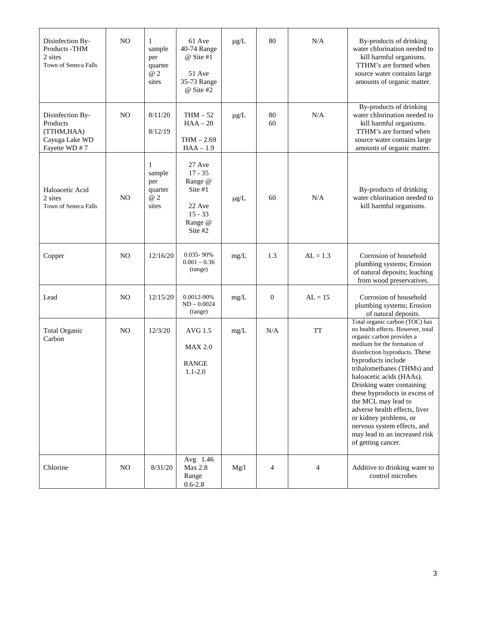| Disinfection By-<br>Products - THM<br>2 sites<br>Town of Seneca Falls          | N <sub>O</sub> | $\mathbf{1}$<br>sample<br>per<br>quarter<br>@ 2<br>sites | 61 Ave<br>40-74 Range<br>@ Site #1<br>51 Ave<br>35-73 Range<br>@ Site #2               | $\mu g/L$ | 80               | N/A        | By-products of drinking<br>water chlorination needed to<br>kill harmful organisms.<br>TTHM's are formed when<br>source water contains large<br>amounts of organic matter.                                                                                                                                                                                                                                                                                                               |
|--------------------------------------------------------------------------------|----------------|----------------------------------------------------------|----------------------------------------------------------------------------------------|-----------|------------------|------------|-----------------------------------------------------------------------------------------------------------------------------------------------------------------------------------------------------------------------------------------------------------------------------------------------------------------------------------------------------------------------------------------------------------------------------------------------------------------------------------------|
| Disinfection By-<br>Products<br>(TTHM, HAA)<br>Cayuga Lake WD<br>Fayette WD #7 | N <sub>O</sub> | 8/11/20<br>8/12/19                                       | $THM - 52$<br>$HAA - 20$<br>$THM - 2.69$<br>$HAA - 1.9$                                | $\mu$ g/L | 80<br>60         | N/A        | By-products of drinking<br>water chlorination needed to<br>kill harmful organisms.<br>TTHM's are formed when<br>source water contains large<br>amounts of organic matter.                                                                                                                                                                                                                                                                                                               |
| Haloacetic Acid<br>2 sites<br>Town of Seneca Falls                             | N <sub>O</sub> | 1<br>sample<br>per<br>quarter<br>@ 2<br>sites            | 27 Ave<br>$17 - 35$<br>Range @<br>Site #1<br>22 Ave<br>$15 - 33$<br>Range @<br>Site #2 | $\mu g/L$ | 60               | N/A        | By-products of drinking<br>water chlorination needed to<br>kill harmful organisms.                                                                                                                                                                                                                                                                                                                                                                                                      |
| Copper                                                                         | N <sub>O</sub> | 12/16/20                                                 | $0.035 - 90\%$<br>$0.001 - 0.36$<br>(range)                                            | mg/L      | 1.3              | $AL = 1.3$ | Corrosion of household<br>plumbing systems; Erosion<br>of natural deposits; leaching<br>from wood preservatives.                                                                                                                                                                                                                                                                                                                                                                        |
| Lead                                                                           | N <sub>O</sub> | 12/15/20                                                 | 0.0012-90%<br>$ND - 0.0024$<br>(range)                                                 | mg/L      | $\boldsymbol{0}$ | $AL = 15$  | Corrosion of household<br>plumbing systems; Erosion<br>of natural deposits.                                                                                                                                                                                                                                                                                                                                                                                                             |
| <b>Total Organic</b><br>Carbon                                                 | N <sub>O</sub> | 12/3/20                                                  | AVG 1.5<br><b>MAX 2.0</b><br><b>RANGE</b><br>$1.1 - 2.0$                               | mg/L      | N/A              | <b>TT</b>  | Total organic carbon (TOC) has<br>no health effects. However, total<br>organic carbon provides a<br>medium for the formation of<br>disinfection byproducts. These<br>byproducts include<br>trihalomethanes (THMs) and<br>haloacetic acids (HAAs).<br>Drinking water containing<br>these byproducts in excess of<br>the MCL may lead to<br>adverse health effects, liver<br>or kidney problems, or<br>nervous system effects, and<br>may lead to an increased risk<br>of getting cancer. |
| Chlorine                                                                       | N <sub>O</sub> | 8/31/20                                                  | Avg 1.46<br><b>Max 2.8</b><br>Range<br>$0.6 - 2.8$                                     | Mg/l      | 4                | 4          | Additive to drinking water to<br>control microbes                                                                                                                                                                                                                                                                                                                                                                                                                                       |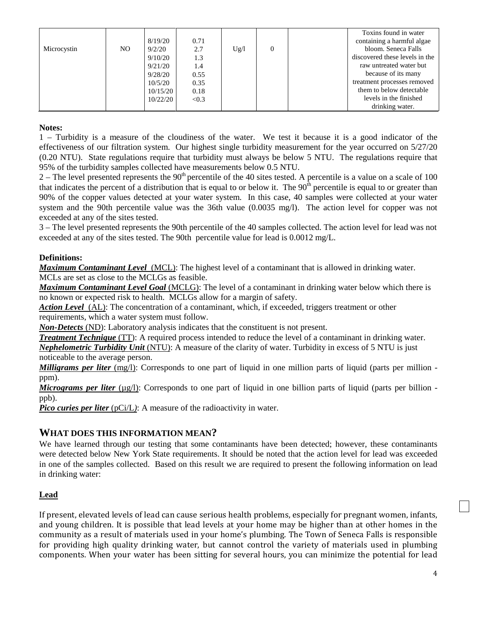| Microcystin | NO. | 8/19/20<br>9/2/20<br>9/10/20<br>9/21/20<br>9/28/20<br>10/5/20<br>10/15/20 | 0.71<br>2.7<br>1.3<br>1.4<br>0.55<br>0.35<br>0.18 | Ug/l | $\theta$ | Toxins found in water<br>containing a harmful algae<br>bloom. Seneca Falls<br>discovered these levels in the<br>raw untreated water but<br>because of its many<br>treatment processes removed<br>them to below detectable |
|-------------|-----|---------------------------------------------------------------------------|---------------------------------------------------|------|----------|---------------------------------------------------------------------------------------------------------------------------------------------------------------------------------------------------------------------------|
|             |     | 10/22/20                                                                  | < 0.3                                             |      |          | levels in the finished                                                                                                                                                                                                    |
|             |     |                                                                           |                                                   |      |          | drinking water.                                                                                                                                                                                                           |

#### **Notes:**

1 – Turbidity is a measure of the cloudiness of the water. We test it because it is a good indicator of the effectiveness of our filtration system. Our highest single turbidity measurement for the year occurred on 5/27/20 (0.20 NTU). State regulations require that turbidity must always be below 5 NTU. The regulations require that 95% of the turbidity samples collected have measurements below 0.5 NTU.

 $2 -$  The level presented represents the 90<sup>th</sup> percentile of the 40 sites tested. A percentile is a value on a scale of 100 that indicates the percent of a distribution that is equal to or below it. The  $90^{\text{th}}$  percentile is equal to or greater than 90% of the copper values detected at your water system. In this case, 40 samples were collected at your water system and the 90th percentile value was the 36th value (0.0035 mg/l). The action level for copper was not exceeded at any of the sites tested.

3 – The level presented represents the 90th percentile of the 40 samples collected. The action level for lead was not exceeded at any of the sites tested. The 90th percentile value for lead is 0.0012 mg/L.

#### **Definitions:**

*Maximum Contaminant Level*(MCL): The highest level of a contaminant that is allowed in drinking water. MCLs are set as close to the MCLGs as feasible.

*Maximum Contaminant Level Goal* (MCLG): The level of a contaminant in drinking water below which there is no known or expected risk to health. MCLGs allow for a margin of safety.

*Action Level*(AL): The concentration of a contaminant, which, if exceeded, triggers treatment or other requirements, which a water system must follow.

*Non-Detects* (ND): Laboratory analysis indicates that the constituent is not present.

*Treatment Technique* (TT): A required process intended to reduce the level of a contaminant in drinking water. *Nephelometric Turbidity Unit* (NTU): A measure of the clarity of water. Turbidity in excess of 5 NTU is just

noticeable to the average person.

*Milligrams per liter* (mg/l): Corresponds to one part of liquid in one million parts of liquid (parts per million ppm).

*Micrograms per liter* ( $\mu$ g/l): Corresponds to one part of liquid in one billion parts of liquid (parts per billion ppb).

*Pico curies per liter* (pCi/L): A measure of the radioactivity in water.

## **WHAT DOES THIS INFORMATION MEAN?**

We have learned through our testing that some contaminants have been detected; however, these contaminants were detected below New York State requirements. It should be noted that the action level for lead was exceeded in one of the samples collected. Based on this result we are required to present the following information on lead in drinking water:

#### **Lead**

If present, elevated levels of lead can cause serious health problems, especially for pregnant women, infants, and young children. It is possible that lead levels at your home may be higher than at other homes in the community as a result of materials used in your home's plumbing. The Town of Seneca Falls is responsible for providing high quality drinking water, but cannot control the variety of materials used in plumbing components. When your water has been sitting for several hours, you can minimize the potential for lead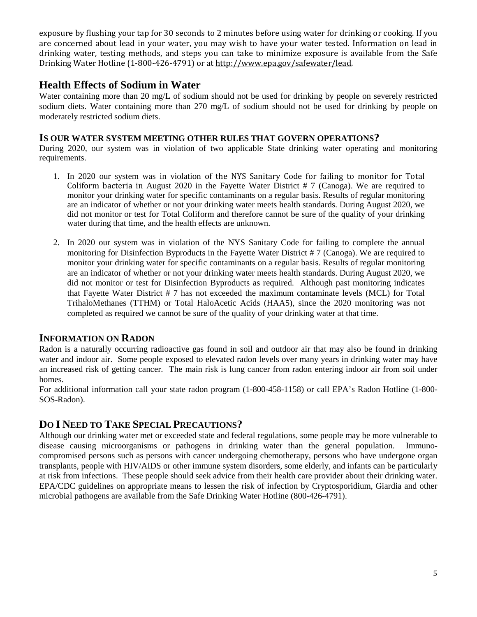exposure by flushing your tap for 30 seconds to 2 minutes before using water for drinking or cooking. If you are concerned about lead in your water, you may wish to have your water tested. Information on lead in drinking water, testing methods, and steps you can take to minimize exposure is available from the Safe Drinking Water Hotline (1-800-426-4791) or at http://www.epa.gov/safewater/lead.

# **Health Effects of Sodium in Water**

Water containing more than 20 mg/L of sodium should not be used for drinking by people on severely restricted sodium diets. Water containing more than 270 mg/L of sodium should not be used for drinking by people on moderately restricted sodium diets.

### **IS OUR WATER SYSTEM MEETING OTHER RULES THAT GOVERN OPERATIONS?**

During 2020, our system was in violation of two applicable State drinking water operating and monitoring requirements.

- 1. In 2020 our system was in violation of the NYS Sanitary Code for failing to monitor for Total Coliform bacteria in August 2020 in the Fayette Water District  $# 7$  (Canoga). We are required to monitor your drinking water for specific contaminants on a regular basis. Results of regular monitoring are an indicator of whether or not your drinking water meets health standards. During August 2020, we did not monitor or test for Total Coliform and therefore cannot be sure of the quality of your drinking water during that time, and the health effects are unknown.
- 2. In 2020 our system was in violation of the NYS Sanitary Code for failing to complete the annual monitoring for Disinfection Byproducts in the Fayette Water District # 7 (Canoga). We are required to monitor your drinking water for specific contaminants on a regular basis. Results of regular monitoring are an indicator of whether or not your drinking water meets health standards. During August 2020, we did not monitor or test for Disinfection Byproducts as required. Although past monitoring indicates that Fayette Water District # 7 has not exceeded the maximum contaminate levels (MCL) for Total TrihaloMethanes (TTHM) or Total HaloAcetic Acids (HAA5), since the 2020 monitoring was not completed as required we cannot be sure of the quality of your drinking water at that time.

## **INFORMATION ON RADON**

Radon is a naturally occurring radioactive gas found in soil and outdoor air that may also be found in drinking water and indoor air. Some people exposed to elevated radon levels over many years in drinking water may have an increased risk of getting cancer. The main risk is lung cancer from radon entering indoor air from soil under homes.

For additional information call your state radon program (1-800-458-1158) or call EPA's Radon Hotline (1-800- SOS-Radon).

## **DO I NEED TO TAKE SPECIAL PRECAUTIONS?**

Although our drinking water met or exceeded state and federal regulations, some people may be more vulnerable to disease causing microorganisms or pathogens in drinking water than the general population. Immunocompromised persons such as persons with cancer undergoing chemotherapy, persons who have undergone organ transplants, people with HIV/AIDS or other immune system disorders, some elderly, and infants can be particularly at risk from infections. These people should seek advice from their health care provider about their drinking water. EPA/CDC guidelines on appropriate means to lessen the risk of infection by Cryptosporidium, Giardia and other microbial pathogens are available from the Safe Drinking Water Hotline (800-426-4791).